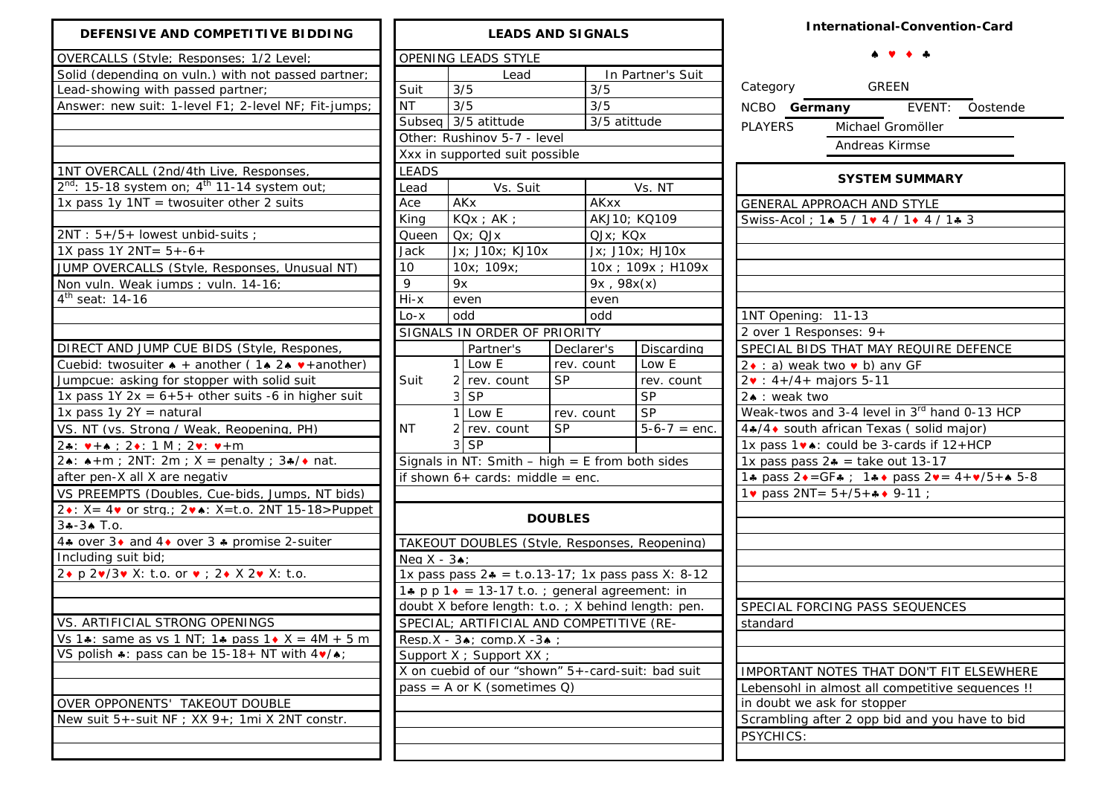| DEFENSIVE AND COMPETITIVE BIDDING                                                     |
|---------------------------------------------------------------------------------------|
| OVERCALLS (Style: Responses: 1/2 Level:                                               |
| Solid (depending on vuln.) with not passed partner;                                   |
| Lead-showing with passed partner;                                                     |
| Answer: new suit: 1-level F1; 2-level NF; Fit-jumps;                                  |
|                                                                                       |
|                                                                                       |
|                                                                                       |
| 1NT OVERCALL (2nd/4th Live, Responses,                                                |
| $2^{nd}$ : 15-18 system on: $4^{th}$ 11-14 system out:                                |
| 1x pass 1y 1NT = twosuiter other 2 suits                                              |
|                                                                                       |
| 2NT: 5+/5+ lowest unbid-suits;                                                        |
| 1X pass 1Y 2NT= $5+-6+$                                                               |
| JUMP OVERCALLS (Style, Responses, Unusual NT)                                         |
| Non vuln. Weak jumps : vuln. 14-16:                                                   |
| 4 <sup>th</sup> seat: 14-16                                                           |
|                                                                                       |
|                                                                                       |
| DIRECT AND JUMP CUE BIDS (Style, Respones,                                            |
| Cuebid: twosuiter $\bullet$ + another (1 $\bullet$ 2 $\bullet$ $\bullet$ + another)   |
| Jumpcue: asking for stopper with solid suit                                           |
| 1x pass 1Y 2x = $6+5+$ other suits -6 in higher suit                                  |
| 1x pass $1y 2Y =$ natural                                                             |
| VS. NT (vs. Strong / Weak, Reopening, PH)                                             |
| $24: v + 4: 24: 1 M: 2v: v + m$                                                       |
| 2. $\star$ + m; 2NT: 2m; X = penalty; 3. $\star$ + nat.                               |
| after pen-X all X are negativ                                                         |
| VS PREEMPTS (Doubles, Cue-bids, Jumps, NT bids)                                       |
| 2. X = 4. or stra.: 2 Y=t.o. 2NT 15-18>Puppet                                         |
| $3 - 3$ $\uparrow$ T.o.                                                               |
| 4. over 3. and 4. over 3. promise 2-suiter                                            |
| Including suit bid;                                                                   |
| 2. p 2./3. X: t.o. or $\bullet$ ; 2. X 2. X: t.o.                                     |
|                                                                                       |
|                                                                                       |
| VS. ARTIFICIAL STRONG OPENINGS                                                        |
| Vs 1. same as vs 1 NT; 1. pass 1. X = 4M + 5 m                                        |
| VS polish $\clubsuit$ : pass can be 15-18+ NT with $4\blacktriangledown/\spadesuit$ ; |
|                                                                                       |
|                                                                                       |
| OVER OPPONENTS' TAKEOUT DOUBLE                                                        |
| New suit 5+-suit NF : XX 9+: 1mi X 2NT constr.                                        |

| <b>LEADS AND SIGNALS</b>                               |                             |                                                        |                |                    |                    |  |  |  |  |
|--------------------------------------------------------|-----------------------------|--------------------------------------------------------|----------------|--------------------|--------------------|--|--|--|--|
|                                                        |                             | OPENING LEADS STYLE                                    |                |                    |                    |  |  |  |  |
|                                                        |                             | Lead                                                   |                | In Partner's Suit  |                    |  |  |  |  |
| Suit                                                   | 3/5                         |                                                        |                | 3/5                |                    |  |  |  |  |
| <b>NT</b>                                              | 3/5                         |                                                        |                | 3/5                |                    |  |  |  |  |
|                                                        |                             | Subseq 3/5 atittude                                    |                | 3/5 atittude       |                    |  |  |  |  |
|                                                        | Other: Rushinov 5-7 - level |                                                        |                |                    |                    |  |  |  |  |
| Xxx in supported suit possible                         |                             |                                                        |                |                    |                    |  |  |  |  |
| <b>LEADS</b>                                           |                             |                                                        |                |                    |                    |  |  |  |  |
| Lead                                                   |                             | Vs. Suit                                               |                | Vs. NT             |                    |  |  |  |  |
| Ace                                                    |                             | <b>AKx</b>                                             |                | <b>AKxx</b>        |                    |  |  |  |  |
| King                                                   |                             | $KQx$ ; $AK$ ;                                         |                | AKJ10; KQ109       |                    |  |  |  |  |
| Queen                                                  |                             | $Qx$ ; $QJx$                                           |                | QJx; KQx           |                    |  |  |  |  |
| Jack                                                   |                             | Jx; J10x; KJ10x                                        |                | Jx; J10x; HJ10x    |                    |  |  |  |  |
| 10                                                     |                             | 10x; 109x;                                             |                | 10x ; 109x ; H109x |                    |  |  |  |  |
| 9                                                      | 9x                          |                                                        |                | 9x, 98x(x)         |                    |  |  |  |  |
| Hi-x                                                   |                             | even                                                   |                | even               |                    |  |  |  |  |
| $Lo - x$                                               |                             | odd                                                    |                | odd                |                    |  |  |  |  |
|                                                        |                             | SIGNALS IN ORDER OF PRIORITY                           |                |                    |                    |  |  |  |  |
|                                                        |                             | Partner's                                              | Declarer's     |                    | Discarding         |  |  |  |  |
|                                                        | 1                           | Low E                                                  | rev. count     |                    | Low E              |  |  |  |  |
| Suit                                                   |                             | 2 rev. count                                           | SP             |                    | rev. count         |  |  |  |  |
|                                                        |                             | 3 SP                                                   |                |                    | <b>SP</b>          |  |  |  |  |
|                                                        | 1                           | Low E                                                  | rev. count     |                    | <b>SP</b>          |  |  |  |  |
| ΝT                                                     | 2                           | SP<br>rev. count                                       |                |                    | $5 - 6 - 7 =$ enc. |  |  |  |  |
|                                                        | 3                           | SP                                                     |                |                    |                    |  |  |  |  |
|                                                        |                             | Signals in NT: Smith - high = $E$ from both sides      |                |                    |                    |  |  |  |  |
|                                                        |                             | if shown $6+$ cards: middle = enc.                     |                |                    |                    |  |  |  |  |
|                                                        |                             |                                                        |                |                    |                    |  |  |  |  |
|                                                        |                             |                                                        |                |                    |                    |  |  |  |  |
|                                                        |                             |                                                        | <b>DOUBLES</b> |                    |                    |  |  |  |  |
|                                                        |                             | TAKEOUT DOUBLES (Style, Responses, Reopening)          |                |                    |                    |  |  |  |  |
| Nea $X - 3$ $\bullet$ :                                |                             |                                                        |                |                    |                    |  |  |  |  |
| 1x pass pass $24 = 1.0.13 - 17$ ; 1x pass pass X: 8-12 |                             |                                                        |                |                    |                    |  |  |  |  |
|                                                        |                             | 1. p p 1 $\bullet$ = 13-17 t.o.; general agreement: in |                |                    |                    |  |  |  |  |
|                                                        |                             | doubt X before length: t.o.; X behind length: pen.     |                |                    |                    |  |  |  |  |
|                                                        |                             | SPECIAL; ARTIFICIAL AND COMPETITIVE (RE-               |                |                    |                    |  |  |  |  |
|                                                        |                             | Resp.X - 34; comp.X -34;                               |                |                    |                    |  |  |  |  |
|                                                        |                             | Support X ; Support XX ;                               |                |                    |                    |  |  |  |  |
| X on cuebid of our "shown" 5+-card-suit: bad suit      |                             |                                                        |                |                    |                    |  |  |  |  |
| pass = A or K (sometimes Q)                            |                             |                                                        |                |                    |                    |  |  |  |  |
|                                                        |                             |                                                        |                |                    |                    |  |  |  |  |
|                                                        |                             |                                                        |                |                    |                    |  |  |  |  |
|                                                        |                             |                                                        |                |                    |                    |  |  |  |  |
|                                                        |                             |                                                        |                |                    |                    |  |  |  |  |

## **International-Convention-Card**

## ♠ ♥ ♦ ♣

| Category                                                                          | <b>GREEN</b>   |                 |  |  |  |  |  |
|-----------------------------------------------------------------------------------|----------------|-----------------|--|--|--|--|--|
| NCBO Germany                                                                      |                | EVENT: Oostende |  |  |  |  |  |
| PLAYERS Michael Gromöller                                                         |                |                 |  |  |  |  |  |
|                                                                                   | Andreas Kirmse |                 |  |  |  |  |  |
|                                                                                   |                |                 |  |  |  |  |  |
| <b>SYSTEM SUMMARY</b>                                                             |                |                 |  |  |  |  |  |
| <b>GENERAL APPROACH AND STYLE</b>                                                 |                |                 |  |  |  |  |  |
| Swiss-Acol: 14 5 / 1v 4 / 1+ 4 / 1+ 3                                             |                |                 |  |  |  |  |  |
|                                                                                   |                |                 |  |  |  |  |  |
|                                                                                   |                |                 |  |  |  |  |  |
|                                                                                   |                |                 |  |  |  |  |  |
|                                                                                   |                |                 |  |  |  |  |  |
| 1NT Opening: 11-13                                                                |                |                 |  |  |  |  |  |
| 2 over 1 Responses: 9+                                                            |                |                 |  |  |  |  |  |
| SPECIAL BIDS THAT MAY REQUIRE DEFENCE                                             |                |                 |  |  |  |  |  |
| 2• : a) weak two • b) any GF                                                      |                |                 |  |  |  |  |  |
| $2\bullet : 4+/4+$ majors 5-11                                                    |                |                 |  |  |  |  |  |
| 2. : weak two                                                                     |                |                 |  |  |  |  |  |
| Weak-twos and 3-4 level in 3rd hand 0-13 HCP                                      |                |                 |  |  |  |  |  |
| 4.4√4 • south african Texas (solid major)                                         |                |                 |  |  |  |  |  |
| 1x pass 1 v .: could be 3-cards if 12+HCP                                         |                |                 |  |  |  |  |  |
| 1x pass pass $2* =$ take out 13-17                                                |                |                 |  |  |  |  |  |
| 1. pass $2 \cdot = GF$ . 1. 1. pass $2 \cdot = 4 + \frac{1}{5} + \frac{1}{5} - 8$ |                |                 |  |  |  |  |  |
| 1v pass $2NT = 5 + 75 + 4$ 9-11;                                                  |                |                 |  |  |  |  |  |
|                                                                                   |                |                 |  |  |  |  |  |
|                                                                                   |                |                 |  |  |  |  |  |
|                                                                                   |                |                 |  |  |  |  |  |
|                                                                                   |                |                 |  |  |  |  |  |
|                                                                                   |                |                 |  |  |  |  |  |
|                                                                                   |                |                 |  |  |  |  |  |
| SPECIAL FORCING PASS SEQUENCES<br>standard                                        |                |                 |  |  |  |  |  |
|                                                                                   |                |                 |  |  |  |  |  |
|                                                                                   |                |                 |  |  |  |  |  |
| IMPORTANT NOTES THAT DON'T FIT ELSEWHERE                                          |                |                 |  |  |  |  |  |
|                                                                                   |                |                 |  |  |  |  |  |
| Lebensohl in almost all competitive sequences !!<br>in doubt we ask for stopper   |                |                 |  |  |  |  |  |
| Scrambling after 2 opp bid and you have to bid                                    |                |                 |  |  |  |  |  |
| PSYCHICS:                                                                         |                |                 |  |  |  |  |  |
|                                                                                   |                |                 |  |  |  |  |  |